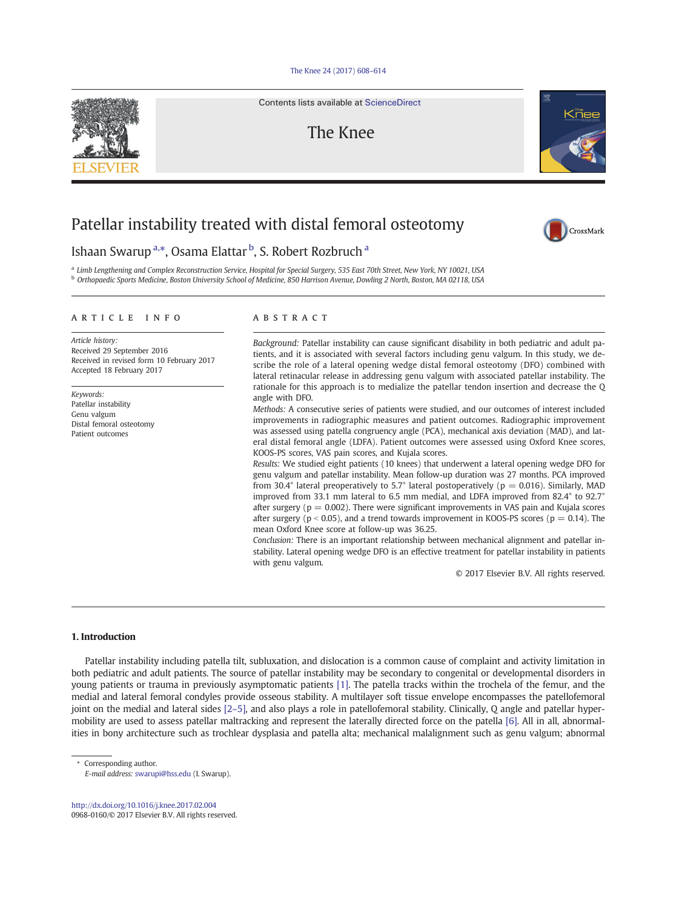### [The Knee 24 \(2017\) 608](http://dx.doi.org/10.1016/j.knee.2017.02.004)–614



Contents lists available at [ScienceDirect](http://www.sciencedirect.com/science/journal/09680160)

The Knee



# Patellar instability treated with distal femoral osteotomy



# Ishaan Swarup<sup>a,</sup>\*, Osama Elattar <sup>b</sup>, S. Robert Rozbruch <sup>a</sup>

<sup>a</sup> Limb Lengthening and Complex Reconstruction Service, Hospital for Special Surgery, 535 East 70th Street, New York, NY 10021, USA <sup>b</sup> Orthopaedic Sports Medicine, Boston University School of Medicine, 850 Harrison Avenue, Dowling 2 North, Boston, MA 02118, USA

### article info abstract

Article history: Received 29 September 2016 Received in revised form 10 February 2017 Accepted 18 February 2017

Keywords: Patellar instability Genu valgum Distal femoral osteotomy Patient outcomes

Background: Patellar instability can cause significant disability in both pediatric and adult patients, and it is associated with several factors including genu valgum. In this study, we describe the role of a lateral opening wedge distal femoral osteotomy (DFO) combined with lateral retinacular release in addressing genu valgum with associated patellar instability. The rationale for this approach is to medialize the patellar tendon insertion and decrease the Q angle with DFO.

Methods: A consecutive series of patients were studied, and our outcomes of interest included improvements in radiographic measures and patient outcomes. Radiographic improvement was assessed using patella congruency angle (PCA), mechanical axis deviation (MAD), and lateral distal femoral angle (LDFA). Patient outcomes were assessed using Oxford Knee scores, KOOS-PS scores, VAS pain scores, and Kujala scores.

Results: We studied eight patients (10 knees) that underwent a lateral opening wedge DFO for genu valgum and patellar instability. Mean follow-up duration was 27 months. PCA improved from 30.4° lateral preoperatively to 5.7° lateral postoperatively ( $p = 0.016$ ). Similarly, MAD improved from 33.1 mm lateral to 6.5 mm medial, and LDFA improved from 82.4° to 92.7° after surgery ( $p = 0.002$ ). There were significant improvements in VAS pain and Kujala scores after surgery ( $p < 0.05$ ), and a trend towards improvement in KOOS-PS scores ( $p = 0.14$ ). The mean Oxford Knee score at follow-up was 36.25.

Conclusion: There is an important relationship between mechanical alignment and patellar instability. Lateral opening wedge DFO is an effective treatment for patellar instability in patients with genu valgum.

© 2017 Elsevier B.V. All rights reserved.

# 1. Introduction

Patellar instability including patella tilt, subluxation, and dislocation is a common cause of complaint and activity limitation in both pediatric and adult patients. The source of patellar instability may be secondary to congenital or developmental disorders in young patients or trauma in previously asymptomatic patients [\[1\]](#page-6-0). The patella tracks within the trochela of the femur, and the medial and lateral femoral condyles provide osseous stability. A multilayer soft tissue envelope encompasses the patellofemoral joint on the medial and lateral sides [\[2](#page-6-0)-5], and also plays a role in patellofemoral stability. Clinically, Q angle and patellar hypermobility are used to assess patellar maltracking and represent the laterally directed force on the patella [\[6\]](#page-6-0). All in all, abnormalities in bony architecture such as trochlear dysplasia and patella alta; mechanical malalignment such as genu valgum; abnormal

⁎ Corresponding author. E-mail address: [swarupi@hss.edu](mailto:swarupi@hss.edu) (I. Swarup).

<http://dx.doi.org/10.1016/j.knee.2017.02.004> 0968-0160/© 2017 Elsevier B.V. All rights reserved.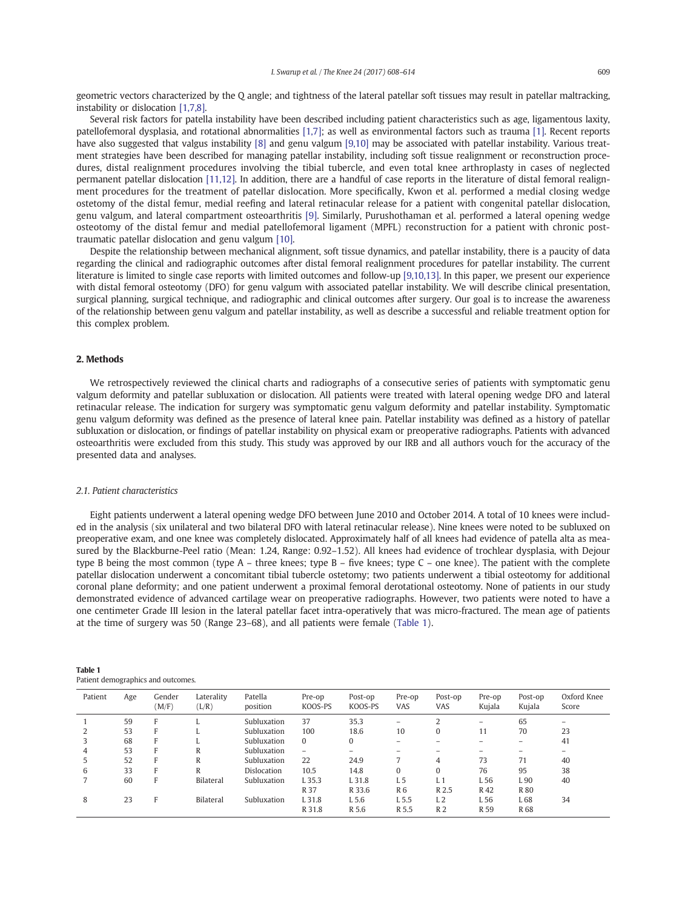<span id="page-1-0"></span>geometric vectors characterized by the Q angle; and tightness of the lateral patellar soft tissues may result in patellar maltracking, instability or dislocation [\[1,7,8\].](#page-6-0)

Several risk factors for patella instability have been described including patient characteristics such as age, ligamentous laxity, patellofemoral dysplasia, and rotational abnormalities [\[1,7\];](#page-6-0) as well as environmental factors such as trauma [\[1\].](#page-6-0) Recent reports have also suggested that valgus instability [\[8\]](#page-6-0) and genu valgum [\[9,10\]](#page-6-0) may be associated with patellar instability. Various treatment strategies have been described for managing patellar instability, including soft tissue realignment or reconstruction procedures, distal realignment procedures involving the tibial tubercle, and even total knee arthroplasty in cases of neglected permanent patellar dislocation [\[11,12\]](#page-6-0). In addition, there are a handful of case reports in the literature of distal femoral realignment procedures for the treatment of patellar dislocation. More specifically, Kwon et al. performed a medial closing wedge ostetomy of the distal femur, medial reefing and lateral retinacular release for a patient with congenital patellar dislocation, genu valgum, and lateral compartment osteoarthritis [\[9\].](#page-6-0) Similarly, Purushothaman et al. performed a lateral opening wedge osteotomy of the distal femur and medial patellofemoral ligament (MPFL) reconstruction for a patient with chronic posttraumatic patellar dislocation and genu valgum [\[10\].](#page-6-0)

Despite the relationship between mechanical alignment, soft tissue dynamics, and patellar instability, there is a paucity of data regarding the clinical and radiographic outcomes after distal femoral realignment procedures for patellar instability. The current literature is limited to single case reports with limited outcomes and follow-up [\[9,10,13\].](#page-6-0) In this paper, we present our experience with distal femoral osteotomy (DFO) for genu valgum with associated patellar instability. We will describe clinical presentation, surgical planning, surgical technique, and radiographic and clinical outcomes after surgery. Our goal is to increase the awareness of the relationship between genu valgum and patellar instability, as well as describe a successful and reliable treatment option for this complex problem.

# 2. Methods

We retrospectively reviewed the clinical charts and radiographs of a consecutive series of patients with symptomatic genu valgum deformity and patellar subluxation or dislocation. All patients were treated with lateral opening wedge DFO and lateral retinacular release. The indication for surgery was symptomatic genu valgum deformity and patellar instability. Symptomatic genu valgum deformity was defined as the presence of lateral knee pain. Patellar instability was defined as a history of patellar subluxation or dislocation, or findings of patellar instability on physical exam or preoperative radiographs. Patients with advanced osteoarthritis were excluded from this study. This study was approved by our IRB and all authors vouch for the accuracy of the presented data and analyses.

# 2.1. Patient characteristics

Eight patients underwent a lateral opening wedge DFO between June 2010 and October 2014. A total of 10 knees were included in the analysis (six unilateral and two bilateral DFO with lateral retinacular release). Nine knees were noted to be subluxed on preoperative exam, and one knee was completely dislocated. Approximately half of all knees had evidence of patella alta as measured by the Blackburne-Peel ratio (Mean: 1.24, Range: 0.92–1.52). All knees had evidence of trochlear dysplasia, with Dejour type B being the most common (type A – three knees; type B – five knees; type C – one knee). The patient with the complete patellar dislocation underwent a concomitant tibial tubercle ostetomy; two patients underwent a tibial osteotomy for additional coronal plane deformity; and one patient underwent a proximal femoral derotational osteotomy. None of patients in our study demonstrated evidence of advanced cartilage wear on preoperative radiographs. However, two patients were noted to have a one centimeter Grade III lesion in the lateral patellar facet intra-operatively that was micro-fractured. The mean age of patients at the time of surgery was 50 (Range 23–68), and all patients were female (Table 1).

| Patient     | Age                              | Gender<br>(M/F)            | Laterality<br>(L/R)           | Patella<br>position                                                                    | Pre-op<br>KOOS-PS                  | Post-op<br>KOOS-PS                                            | Pre-op<br><b>VAS</b>                              | Post-op<br>VAS                        | Pre-op<br>Kujala                    | Post-op<br>Kujala                                        | Oxford Knee<br>Score                             |
|-------------|----------------------------------|----------------------------|-------------------------------|----------------------------------------------------------------------------------------|------------------------------------|---------------------------------------------------------------|---------------------------------------------------|---------------------------------------|-------------------------------------|----------------------------------------------------------|--------------------------------------------------|
| 4<br>5<br>6 | 59<br>53<br>68<br>53<br>52<br>33 | ĸ<br>F<br>F<br>F<br>E<br>F | R<br>R<br>R                   | Subluxation<br>Subluxation<br>Subluxation<br>Subluxation<br>Subluxation<br>Dislocation | 37<br>100<br>0<br>-<br>22<br>10.5  | 35.3<br>18.6<br>0<br>$\overline{\phantom{0}}$<br>24.9<br>14.8 | $-$<br>10<br>$\overline{\phantom{0}}$<br>$\Omega$ | $\mathbf{0}$<br>4<br>$\Omega$         | $\qquad \qquad -$<br>11<br>73<br>76 | 65<br>70<br>-<br>71<br>95                                | $\overline{\phantom{0}}$<br>23<br>41<br>40<br>38 |
| 8           | 60<br>23                         | F<br>E                     | <b>Bilateral</b><br>Bilateral | Subluxation<br>Subluxation                                                             | L 35.3<br>R 37<br>L 31.8<br>R 31.8 | L 31.8<br>R 33.6<br>L 5.6<br>R 5.6                            | L <sub>5</sub><br><b>R6</b><br>L 5.5<br>R 5.5     | I. 1<br>R 2.5<br>L2<br>R <sub>2</sub> | L 56<br>R42<br>L 56<br>R 59         | L 90<br><b>R80</b><br>L <sub>68</sub><br>R <sub>68</sub> | 40<br>34                                         |

| Patient demographics and outcomes. |  |
|------------------------------------|--|

Table 1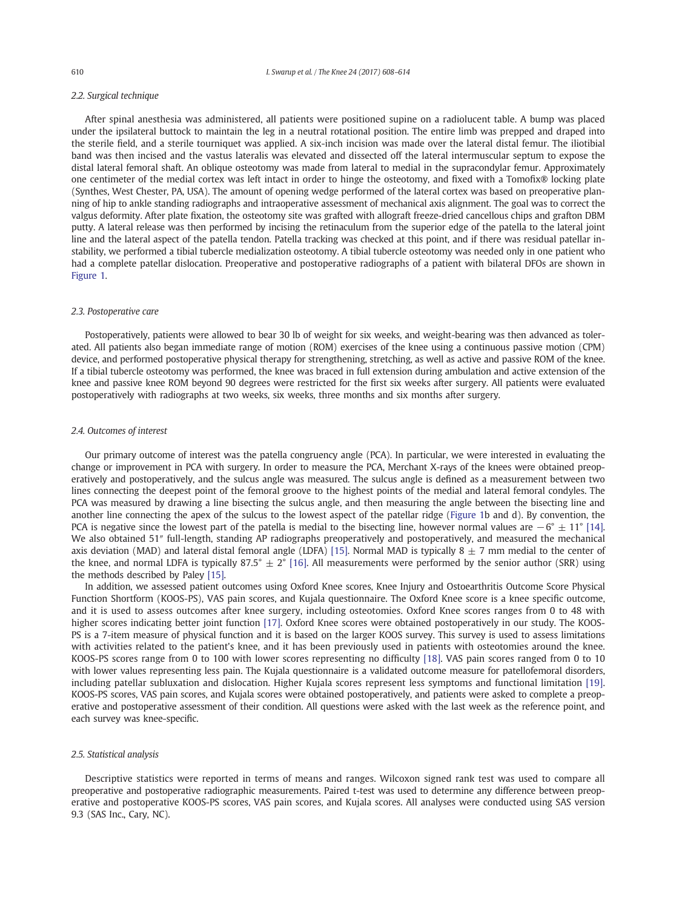# 2.2. Surgical technique

After spinal anesthesia was administered, all patients were positioned supine on a radiolucent table. A bump was placed under the ipsilateral buttock to maintain the leg in a neutral rotational position. The entire limb was prepped and draped into the sterile field, and a sterile tourniquet was applied. A six-inch incision was made over the lateral distal femur. The iliotibial band was then incised and the vastus lateralis was elevated and dissected off the lateral intermuscular septum to expose the distal lateral femoral shaft. An oblique osteotomy was made from lateral to medial in the supracondylar femur. Approximately one centimeter of the medial cortex was left intact in order to hinge the osteotomy, and fixed with a Tomofix® locking plate (Synthes, West Chester, PA, USA). The amount of opening wedge performed of the lateral cortex was based on preoperative planning of hip to ankle standing radiographs and intraoperative assessment of mechanical axis alignment. The goal was to correct the valgus deformity. After plate fixation, the osteotomy site was grafted with allograft freeze-dried cancellous chips and grafton DBM putty. A lateral release was then performed by incising the retinaculum from the superior edge of the patella to the lateral joint line and the lateral aspect of the patella tendon. Patella tracking was checked at this point, and if there was residual patellar instability, we performed a tibial tubercle medialization osteotomy. A tibial tubercle osteotomy was needed only in one patient who had a complete patellar dislocation. Preoperative and postoperative radiographs of a patient with bilateral DFOs are shown in [Figure 1](#page-3-0).

# 2.3. Postoperative care

Postoperatively, patients were allowed to bear 30 lb of weight for six weeks, and weight-bearing was then advanced as tolerated. All patients also began immediate range of motion (ROM) exercises of the knee using a continuous passive motion (CPM) device, and performed postoperative physical therapy for strengthening, stretching, as well as active and passive ROM of the knee. If a tibial tubercle osteotomy was performed, the knee was braced in full extension during ambulation and active extension of the knee and passive knee ROM beyond 90 degrees were restricted for the first six weeks after surgery. All patients were evaluated postoperatively with radiographs at two weeks, six weeks, three months and six months after surgery.

# 2.4. Outcomes of interest

Our primary outcome of interest was the patella congruency angle (PCA). In particular, we were interested in evaluating the change or improvement in PCA with surgery. In order to measure the PCA, Merchant X-rays of the knees were obtained preoperatively and postoperatively, and the sulcus angle was measured. The sulcus angle is defined as a measurement between two lines connecting the deepest point of the femoral groove to the highest points of the medial and lateral femoral condyles. The PCA was measured by drawing a line bisecting the sulcus angle, and then measuring the angle between the bisecting line and another line connecting the apex of the sulcus to the lowest aspect of the patellar ridge [\(Figure 1](#page-3-0)b and d). By convention, the PCA is negative since the lowest part of the patella is medial to the bisecting line, however normal values are  $-6° \pm 11°$  [\[14\]](#page-6-0). We also obtained 51″ full-length, standing AP radiographs preoperatively and postoperatively, and measured the mechanical axis deviation (MAD) and lateral distal femoral angle (LDFA) [\[15\]](#page-6-0). Normal MAD is typically 8  $\pm$  7 mm medial to the center of the knee, and normal LDFA is typically  $87.5^\circ \pm 2^\circ$  [\[16\]](#page-6-0). All measurements were performed by the senior author (SRR) using the methods described by Paley [\[15\]](#page-6-0).

In addition, we assessed patient outcomes using Oxford Knee scores, Knee Injury and Ostoearthritis Outcome Score Physical Function Shortform (KOOS-PS), VAS pain scores, and Kujala questionnaire. The Oxford Knee score is a knee specific outcome, and it is used to assess outcomes after knee surgery, including osteotomies. Oxford Knee scores ranges from 0 to 48 with higher scores indicating better joint function [\[17\]](#page-6-0). Oxford Knee scores were obtained postoperatively in our study. The KOOS-PS is a 7-item measure of physical function and it is based on the larger KOOS survey. This survey is used to assess limitations with activities related to the patient's knee, and it has been previously used in patients with osteotomies around the knee. KOOS-PS scores range from 0 to 100 with lower scores representing no difficulty [\[18\]](#page-6-0). VAS pain scores ranged from 0 to 10 with lower values representing less pain. The Kujala questionnaire is a validated outcome measure for patellofemoral disorders, including patellar subluxation and dislocation. Higher Kujala scores represent less symptoms and functional limitation [\[19\]](#page-6-0). KOOS-PS scores, VAS pain scores, and Kujala scores were obtained postoperatively, and patients were asked to complete a preoperative and postoperative assessment of their condition. All questions were asked with the last week as the reference point, and each survey was knee-specific.

# 2.5. Statistical analysis

Descriptive statistics were reported in terms of means and ranges. Wilcoxon signed rank test was used to compare all preoperative and postoperative radiographic measurements. Paired t-test was used to determine any difference between preoperative and postoperative KOOS-PS scores, VAS pain scores, and Kujala scores. All analyses were conducted using SAS version 9.3 (SAS Inc., Cary, NC).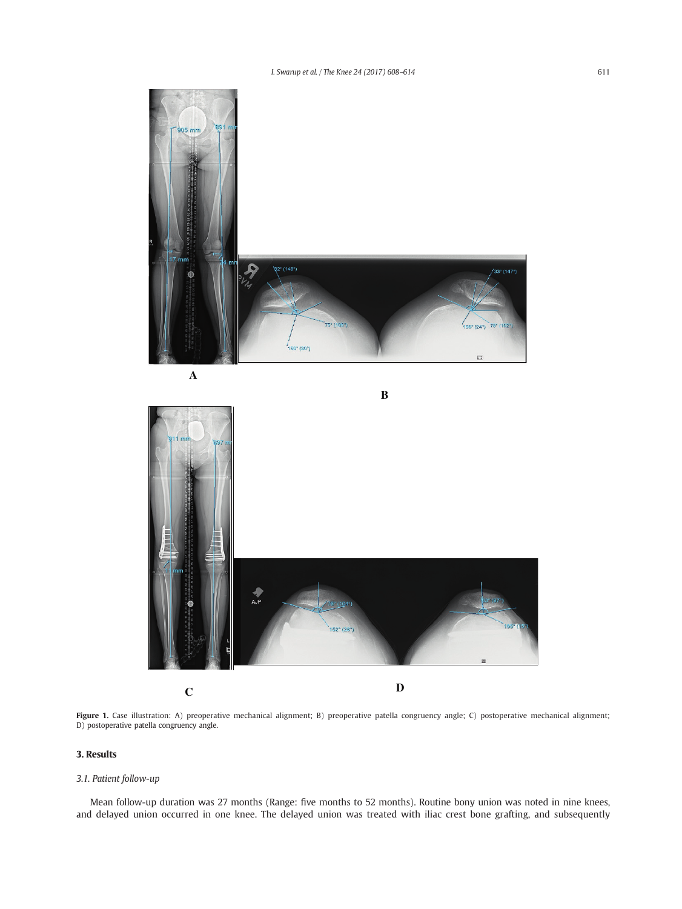<span id="page-3-0"></span>

Figure 1. Case illustration: A) preoperative mechanical alignment; B) preoperative patella congruency angle; C) postoperative mechanical alignment; D) postoperative patella congruency angle.

# 3. Results

# 3.1. Patient follow-up

Mean follow-up duration was 27 months (Range: five months to 52 months). Routine bony union was noted in nine knees, and delayed union occurred in one knee. The delayed union was treated with iliac crest bone grafting, and subsequently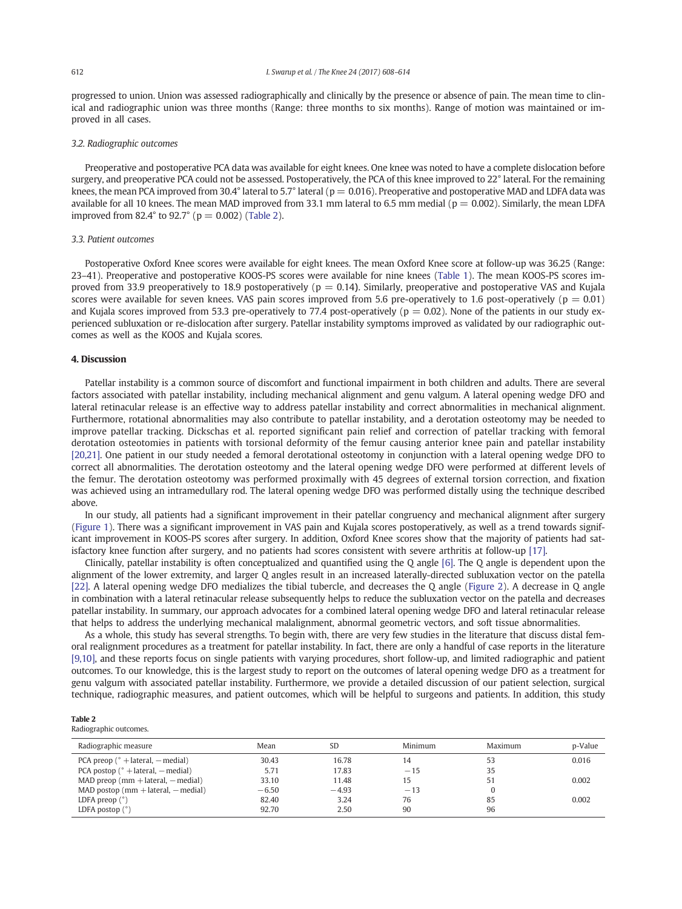progressed to union. Union was assessed radiographically and clinically by the presence or absence of pain. The mean time to clinical and radiographic union was three months (Range: three months to six months). Range of motion was maintained or improved in all cases.

# 3.2. Radiographic outcomes

Preoperative and postoperative PCA data was available for eight knees. One knee was noted to have a complete dislocation before surgery, and preoperative PCA could not be assessed. Postoperatively, the PCA of this knee improved to 22° lateral. For the remaining knees, the mean PCA improved from 30.4° lateral to 5.7° lateral ( $p = 0.016$ ). Preoperative and postoperative MAD and LDFA data was available for all 10 knees. The mean MAD improved from 33.1 mm lateral to 6.5 mm medial ( $p = 0.002$ ). Similarly, the mean LDFA improved from 82.4 $^{\circ}$  to 92.7 $^{\circ}$  (p = 0.002) (Table 2).

# 3.3. Patient outcomes

Postoperative Oxford Knee scores were available for eight knees. The mean Oxford Knee score at follow-up was 36.25 (Range: 23–41). Preoperative and postoperative KOOS-PS scores were available for nine knees [\(Table 1](#page-1-0)). The mean KOOS-PS scores improved from 33.9 preoperatively to 18.9 postoperatively ( $p = 0.14$ ). Similarly, preoperative and postoperative VAS and Kujala scores were available for seven knees. VAS pain scores improved from 5.6 pre-operatively to 1.6 post-operatively ( $p = 0.01$ ) and Kujala scores improved from 53.3 pre-operatively to 77.4 post-operatively ( $p = 0.02$ ). None of the patients in our study experienced subluxation or re-dislocation after surgery. Patellar instability symptoms improved as validated by our radiographic outcomes as well as the KOOS and Kujala scores.

# 4. Discussion

Patellar instability is a common source of discomfort and functional impairment in both children and adults. There are several factors associated with patellar instability, including mechanical alignment and genu valgum. A lateral opening wedge DFO and lateral retinacular release is an effective way to address patellar instability and correct abnormalities in mechanical alignment. Furthermore, rotational abnormalities may also contribute to patellar instability, and a derotation osteotomy may be needed to improve patellar tracking. Dickschas et al. reported significant pain relief and correction of patellar tracking with femoral derotation osteotomies in patients with torsional deformity of the femur causing anterior knee pain and patellar instability [\[20,21\]](#page-6-0). One patient in our study needed a femoral derotational osteotomy in conjunction with a lateral opening wedge DFO to correct all abnormalities. The derotation osteotomy and the lateral opening wedge DFO were performed at different levels of the femur. The derotation osteotomy was performed proximally with 45 degrees of external torsion correction, and fixation was achieved using an intramedullary rod. The lateral opening wedge DFO was performed distally using the technique described above.

In our study, all patients had a significant improvement in their patellar congruency and mechanical alignment after surgery [\(Figure 1](#page-3-0)). There was a significant improvement in VAS pain and Kujala scores postoperatively, as well as a trend towards significant improvement in KOOS-PS scores after surgery. In addition, Oxford Knee scores show that the majority of patients had satisfactory knee function after surgery, and no patients had scores consistent with severe arthritis at follow-up [\[17\]](#page-6-0).

Clinically, patellar instability is often conceptualized and quantified using the Q angle [\[6\]](#page-6-0). The Q angle is dependent upon the alignment of the lower extremity, and larger Q angles result in an increased laterally-directed subluxation vector on the patella [\[22\]](#page-6-0). A lateral opening wedge DFO medializes the tibial tubercle, and decreases the Q angle [\(Figure 2](#page-5-0)). A decrease in Q angle in combination with a lateral retinacular release subsequently helps to reduce the subluxation vector on the patella and decreases patellar instability. In summary, our approach advocates for a combined lateral opening wedge DFO and lateral retinacular release that helps to address the underlying mechanical malalignment, abnormal geometric vectors, and soft tissue abnormalities.

As a whole, this study has several strengths. To begin with, there are very few studies in the literature that discuss distal femoral realignment procedures as a treatment for patellar instability. In fact, there are only a handful of case reports in the literature [\[9,10\]](#page-6-0), and these reports focus on single patients with varying procedures, short follow-up, and limited radiographic and patient outcomes. To our knowledge, this is the largest study to report on the outcomes of lateral opening wedge DFO as a treatment for genu valgum with associated patellar instability. Furthermore, we provide a detailed discussion of our patient selection, surgical technique, radiographic measures, and patient outcomes, which will be helpful to surgeons and patients. In addition, this study

# Table 2

Radiographic outcomes.

| Radiographic measure                          | Mean    | <b>SD</b> | Minimum | Maximum | p-Value |
|-----------------------------------------------|---------|-----------|---------|---------|---------|
| PCA preop ( $\degree$ + lateral, $-$ medial)  | 30.43   | 16.78     | 14      | 53      | 0.016   |
| PCA postop ( $\degree$ + lateral, $-$ medial) | 5.71    | 17.83     | $-15$   | 35      |         |
| $MAD$ preop (mm + lateral, $-$ medial)        | 33.10   | 11.48     | 15      | 51      | 0.002   |
| MAD postop ( $mm + lateral$ , $-medial$ )     | $-6.50$ | $-4.93$   | $-13$   |         |         |
| LDFA preop $(°)$                              | 82.40   | 3.24      | 76      | 85      | 0.002   |
| LDFA postop $(°)$                             | 92.70   | 2.50      | 90      | 96      |         |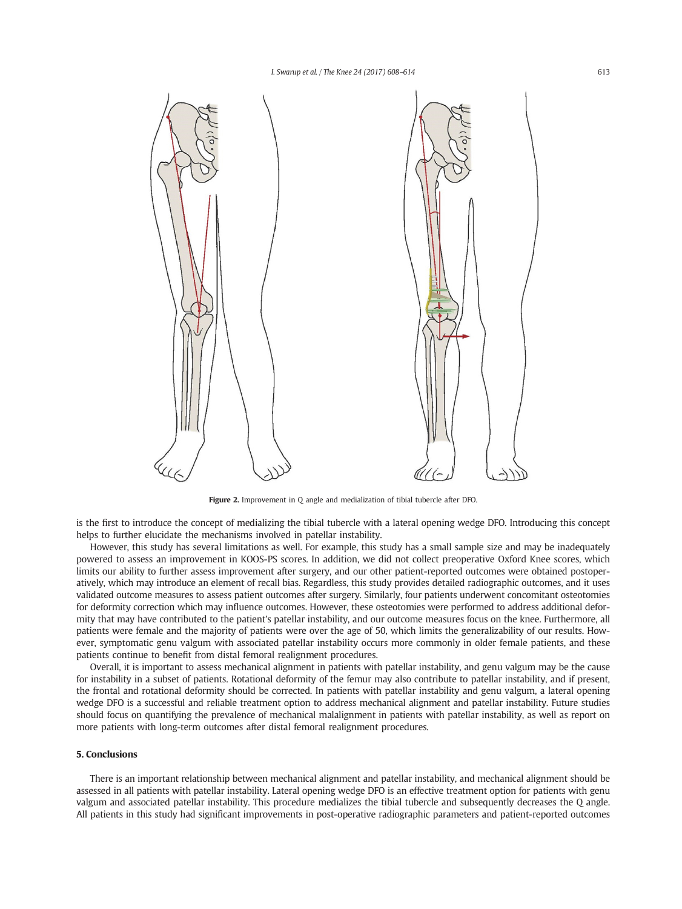<span id="page-5-0"></span>

Figure 2. Improvement in Q angle and medialization of tibial tubercle after DFO.

is the first to introduce the concept of medializing the tibial tubercle with a lateral opening wedge DFO. Introducing this concept helps to further elucidate the mechanisms involved in patellar instability.

However, this study has several limitations as well. For example, this study has a small sample size and may be inadequately powered to assess an improvement in KOOS-PS scores. In addition, we did not collect preoperative Oxford Knee scores, which limits our ability to further assess improvement after surgery, and our other patient-reported outcomes were obtained postoperatively, which may introduce an element of recall bias. Regardless, this study provides detailed radiographic outcomes, and it uses validated outcome measures to assess patient outcomes after surgery. Similarly, four patients underwent concomitant osteotomies for deformity correction which may influence outcomes. However, these osteotomies were performed to address additional deformity that may have contributed to the patient's patellar instability, and our outcome measures focus on the knee. Furthermore, all patients were female and the majority of patients were over the age of 50, which limits the generalizability of our results. However, symptomatic genu valgum with associated patellar instability occurs more commonly in older female patients, and these patients continue to benefit from distal femoral realignment procedures.

Overall, it is important to assess mechanical alignment in patients with patellar instability, and genu valgum may be the cause for instability in a subset of patients. Rotational deformity of the femur may also contribute to patellar instability, and if present, the frontal and rotational deformity should be corrected. In patients with patellar instability and genu valgum, a lateral opening wedge DFO is a successful and reliable treatment option to address mechanical alignment and patellar instability. Future studies should focus on quantifying the prevalence of mechanical malalignment in patients with patellar instability, as well as report on more patients with long-term outcomes after distal femoral realignment procedures.

# 5. Conclusions

There is an important relationship between mechanical alignment and patellar instability, and mechanical alignment should be assessed in all patients with patellar instability. Lateral opening wedge DFO is an effective treatment option for patients with genu valgum and associated patellar instability. This procedure medializes the tibial tubercle and subsequently decreases the Q angle. All patients in this study had significant improvements in post-operative radiographic parameters and patient-reported outcomes